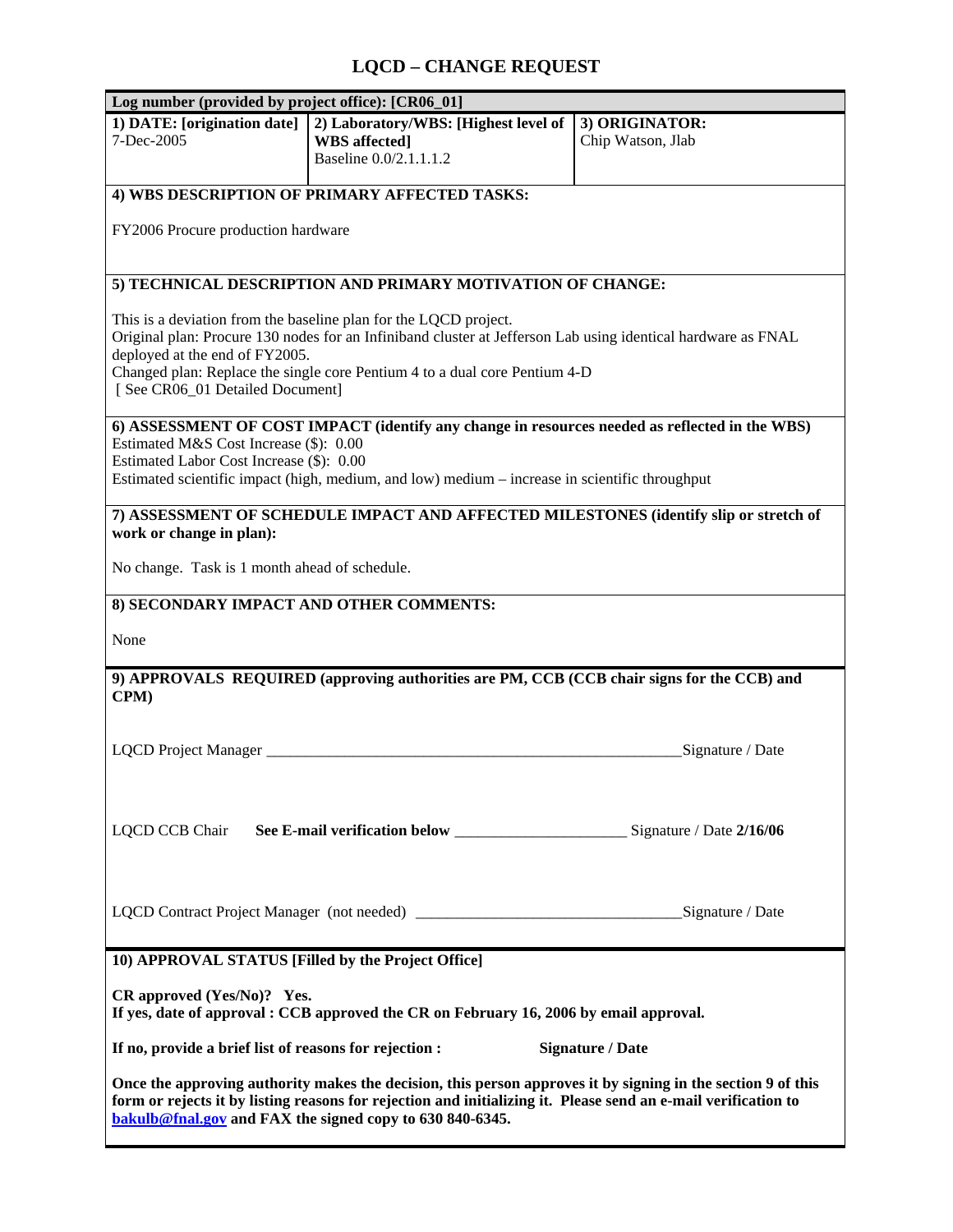## **LQCD – CHANGE REQUEST**

| Log number (provided by project office): [CR06_01]                                                                                                                                                                                                                                                                                   |                                                                                        |                                     |
|--------------------------------------------------------------------------------------------------------------------------------------------------------------------------------------------------------------------------------------------------------------------------------------------------------------------------------------|----------------------------------------------------------------------------------------|-------------------------------------|
| 1) DATE: [origination date]<br>7-Dec-2005                                                                                                                                                                                                                                                                                            | 2) Laboratory/WBS: [Highest level of<br><b>WBS</b> affected]<br>Baseline 0.0/2.1.1.1.2 | 3) ORIGINATOR:<br>Chip Watson, Jlab |
| 4) WBS DESCRIPTION OF PRIMARY AFFECTED TASKS:                                                                                                                                                                                                                                                                                        |                                                                                        |                                     |
| FY2006 Procure production hardware                                                                                                                                                                                                                                                                                                   |                                                                                        |                                     |
| 5) TECHNICAL DESCRIPTION AND PRIMARY MOTIVATION OF CHANGE:                                                                                                                                                                                                                                                                           |                                                                                        |                                     |
| This is a deviation from the baseline plan for the LQCD project.<br>Original plan: Procure 130 nodes for an Infiniband cluster at Jefferson Lab using identical hardware as FNAL<br>deployed at the end of FY2005.<br>Changed plan: Replace the single core Pentium 4 to a dual core Pentium 4-D<br>[ See CR06 01 Detailed Document] |                                                                                        |                                     |
| 6) ASSESSMENT OF COST IMPACT (identify any change in resources needed as reflected in the WBS)                                                                                                                                                                                                                                       |                                                                                        |                                     |
| Estimated M&S Cost Increase (\$): 0.00<br>Estimated Labor Cost Increase (\$): 0.00<br>Estimated scientific impact (high, medium, and low) medium – increase in scientific throughput                                                                                                                                                 |                                                                                        |                                     |
| 7) ASSESSMENT OF SCHEDULE IMPACT AND AFFECTED MILESTONES (identify slip or stretch of<br>work or change in plan):                                                                                                                                                                                                                    |                                                                                        |                                     |
| No change. Task is 1 month ahead of schedule.                                                                                                                                                                                                                                                                                        |                                                                                        |                                     |
| 8) SECONDARY IMPACT AND OTHER COMMENTS:                                                                                                                                                                                                                                                                                              |                                                                                        |                                     |
| None                                                                                                                                                                                                                                                                                                                                 |                                                                                        |                                     |
| 9) APPROVALS REQUIRED (approving authorities are PM, CCB (CCB chair signs for the CCB) and<br>CPM)                                                                                                                                                                                                                                   |                                                                                        |                                     |
| LQCD Project Manager                                                                                                                                                                                                                                                                                                                 |                                                                                        | Signature / Date                    |
|                                                                                                                                                                                                                                                                                                                                      |                                                                                        |                                     |
|                                                                                                                                                                                                                                                                                                                                      |                                                                                        |                                     |
| 10) APPROVAL STATUS [Filled by the Project Office]                                                                                                                                                                                                                                                                                   |                                                                                        |                                     |
| $CR$ approved $(Yes/No)$ ? Yes.<br>If yes, date of approval : CCB approved the CR on February 16, 2006 by email approval.                                                                                                                                                                                                            |                                                                                        |                                     |
| If no, provide a brief list of reasons for rejection :<br><b>Signature / Date</b>                                                                                                                                                                                                                                                    |                                                                                        |                                     |
| Once the approving authority makes the decision, this person approves it by signing in the section 9 of this<br>form or rejects it by listing reasons for rejection and initializing it. Please send an e-mail verification to<br>bakulb@fnal.gov and FAX the signed copy to 630 840-6345.                                           |                                                                                        |                                     |